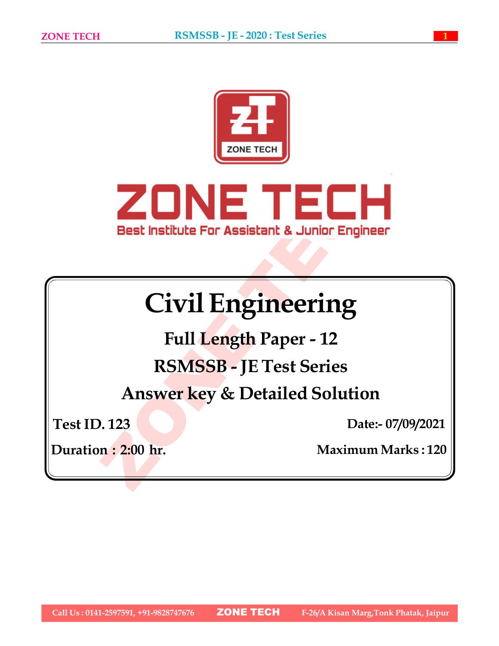



# Civil Engineering

Full Length Paper - 12 RSMSSB - JE Test Series

Answer key & Detailed Solution

Test ID. 123

Date:- 07/09/2021

Duration : 2:00 hr. Maximum Marks : 120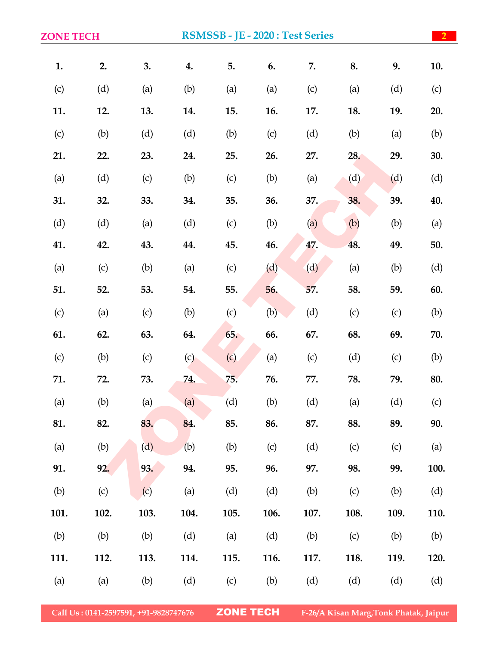| RSMSSB - JE - 2020 : Test Series<br><b>ZONE TECH</b> |      |      |      |      |      |      |      | $\boxed{2}$ |
|------------------------------------------------------|------|------|------|------|------|------|------|-------------|
| 2.                                                   | 3.   | 4.   | 5.   | 6.   | 7.   | 8.   | 9.   | 10.         |
| (d)                                                  | (a)  | (b)  | (a)  | (a)  | (c)  | (a)  | (d)  | (c)         |
| 12.                                                  | 13.  | 14.  | 15.  | 16.  | 17.  | 18.  | 19.  | 20.         |
| (b)                                                  | (d)  | (d)  | (b)  | (c)  | (d)  | (b)  | (a)  | (b)         |
| 22.                                                  | 23.  | 24.  | 25.  | 26.  | 27.  | 28.  | 29.  | 30.         |
| (d)                                                  | (c)  | (b)  | (c)  | (b)  | (a)  | (d)  | (d)  | (d)         |
| 32.                                                  | 33.  | 34.  | 35.  | 36.  | 37.  | 38.  | 39.  | 40.         |
| (d)                                                  | (a)  | (d)  | (c)  | (b)  | (a)  | (b)  | (b)  | (a)         |
| 42.                                                  | 43.  | 44.  | 45.  | 46.  | 47.  | 48.  | 49.  | 50.         |
| (c)                                                  | (b)  | (a)  | (c)  | (d)  | (d)  | (a)  | (b)  | (d)         |
| 52.                                                  | 53.  | 54.  | 55.  | 56.  | 57.  | 58.  | 59.  | 60.         |
| (a)                                                  | (c)  | (b)  | (c)  | (b)  | (d)  | (c)  | (c)  | (b)         |
| 62.                                                  | 63.  | 64.  | 65.  | 66.  | 67.  | 68.  | 69.  | 70.         |
| (b)                                                  | (c)  | (c)  | (c)  | (a)  | (c)  | (d)  | (c)  | (b)         |
| 72.                                                  | 73.  | 74.  | 75.  | 76.  | 77.  | 78.  | 79.  | 80.         |
| (b)                                                  | (a)  | (a)  | (d)  | (b)  | (d)  | (a)  | (d)  | (c)         |
| 82.                                                  | 83.  | 84.  | 85.  | 86.  | 87.  | 88.  | 89.  | 90.         |
| (b)                                                  | (d)  | (b)  | (b)  | (c)  | (d)  | (c)  | (c)  | (a)         |
| 92.                                                  | 93.  | 94.  | 95.  | 96.  | 97.  | 98.  | 99.  | 100.        |
| (c)                                                  | (c)  | (a)  | (d)  | (d)  | (b)  | (c)  | (b)  | (d)         |
| 102.                                                 | 103. | 104. | 105. | 106. | 107. | 108. | 109. | 110.        |
| (b)                                                  | (b)  | (d)  | (a)  | (d)  | (b)  | (c)  | (b)  | (b)         |
| 112.                                                 | 113. | 114. | 115. | 116. | 117. | 118. | 119. | 120.        |
| (a)                                                  | (b)  | (d)  | (c)  | (b)  | (d)  | (d)  | (d)  | (d)         |
|                                                      |      |      |      |      |      |      |      |             |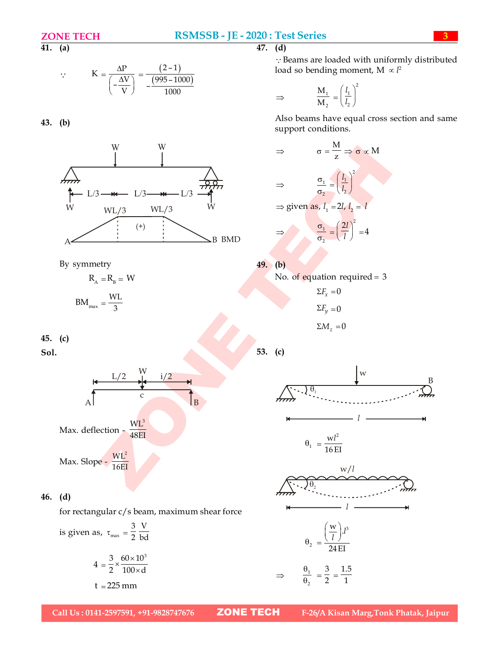#### ZONE TECH RSMSSB - JE - 2020 : Test Series

 $\overline{41.}$  (a)

$$
\therefore \qquad K = \frac{\Delta P}{\left(-\frac{\Delta V}{V}\right)} = \frac{(2-1)}{-\frac{(995-1000)}{1000}}
$$

#### 43. (b)



By symmetry

 $R_{\rm A} = R_{\rm B} = W$  $BM_{\text{max}} = \frac{WL}{3}$ 3

## 45. (c)

Sol.



#### 46. (d)

for rectangular c/s beam, maximum shear force

is given as, 
$$
\tau_{\text{max}} = \frac{3}{2} \frac{V}{bd}
$$
  

$$
4 = \frac{3}{2} \times \frac{60 \times 10^3}{100 \times d}
$$

$$
t = 225 \text{ mm}
$$

 $\Rightarrow$ 

 $=\frac{(2-1)}{(0.05-1000)}$  load so bending moment, M  $\propto l^2$ Beams are loaded with uniformly distributed

$$
\frac{M_1}{M_2} = \left(\frac{l_1}{l_2}\right)^2
$$

Also beams have equal cross section and same support conditions.

RSMSSB - JE - 2020 : Test Series  
\n47. (d)  
\n
$$
\therefore
$$
 Beams are loaded with uniformly distributed  
\nload so bending moment,  $M \propto l^2$   
\n
$$
\Rightarrow \frac{M_1}{M_2} = \left(\frac{l_1}{l_2}\right)^2
$$
\nAlso beams have equal cross section and same  
\nsupport conditions.  
\nW  
\n
$$
\Rightarrow \sigma = \frac{M}{z} \Rightarrow \sigma \propto M
$$
\n
$$
\Rightarrow \frac{\sigma_1}{\sigma_2} = \left(\frac{l_1}{l_2}\right)^2
$$
\nWL/3  
\nWL/3  
\nWL/3  
\nWL/3  
\nWL/3  
\nWL/3  
\nWL/3  
\nB BMD

49. (b)

No. of equation required  $=$  3

 $\Sigma F_x = 0$  $\Sigma F_y = 0$  $\sum M_z = 0$ 

53. (c)



$$
\theta_1 = \frac{1}{16 \text{ EI}}
$$



$$
\theta_2 = \frac{\left(\frac{\mathbf{w}}{l}\right) \cdot l^3}{24 \, \text{EI}}
$$

$$
\Rightarrow \qquad \frac{\theta_1}{\theta_2} = \frac{3}{2} = \frac{1.5}{1}
$$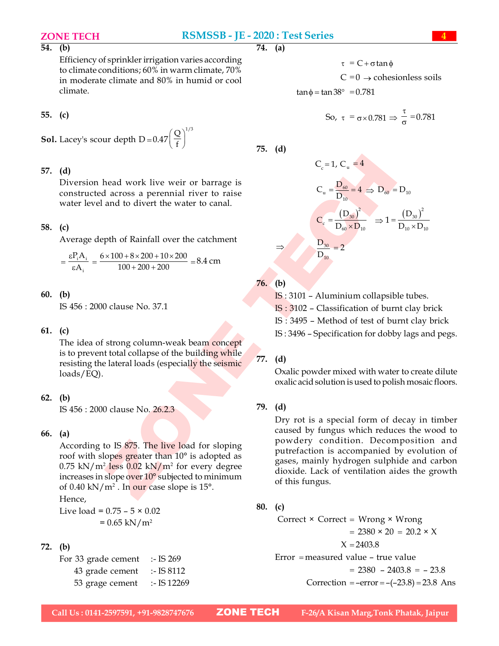54. (b)

Efficiency of sprinkler irrigation varies according to climate conditions; 60% in warm climate, 70% in moderate climate and 80% in humid or cool climate.

$$
55. (c)
$$

**Sol.** Lacey's scour depth  $D = 0.47$  $Q\big)^{1/3}$  $\left(\frac{Q}{f}\right)^{1/3}$ 

#### 57. (d)

Diversion head work live weir or barrage is constructed across a perennial river to raise water level and to divert the water to canal.

#### 58. (c)

Average depth of Rainfall over the catchment

$$
= \frac{\epsilon P_i A_i}{\epsilon A_i} = \frac{6 \times 100 + 8 \times 200 + 10 \times 200}{100 + 200 + 200} = 8.4 \text{ cm}
$$

#### 60. (b)

IS 456 : 2000 clause No. 37.1

### 61. (c)

The idea of strong column-weak beam concept is to prevent total collapse of the building while resisting the lateral loads (especially the seismic loads/EQ).

#### 62. (b)

IS 456 : 2000 clause No. 26.2.3

#### 66. (a)

According to IS 875. The live load for sloping roof with slopes greater than 10° is adopted as  $0.75 \text{ kN/m}^2$  less  $0.02 \text{ kN/m}^2$  for every degree increases in slope over 10° subjected to minimum of 0.40 kN/m<sup>2</sup>. In our case slope is  $15^{\circ}$ .

Hence,

Live load =  $0.75 - 5 \times 0.02$  $= 0.65$  kN/m<sup>2</sup>

#### 72. (b)

For 33 grade cement :- IS 269 43 grade cement :- IS 8112 53 grage cement :- IS 12269  $\overline{74.}$  (a)

 $\tau = C + \sigma \tan \phi$  $C = 0 \rightarrow$  cohesionless soils  $tan \phi = tan 38^{\circ} = 0.781$ 

So, 
$$
\tau = \sigma \times 0.781 \Rightarrow \frac{\tau}{\sigma} = 0.781
$$

75. (d)

$$
\frac{\text{...}}{\text{Test Series}}
$$
\n(a)  
\n
$$
\tau = C + \sigma \tan \phi
$$
\n
$$
C = 0 \rightarrow \text{cohesionless soils}
$$
\n
$$
\tan \phi = \tan 38^\circ = 0.781
$$
\nSo,  $\tau = \sigma \times 0.781 \Rightarrow \frac{\tau}{\sigma} = 0.781$ \n(d)  
\n
$$
C_e = 1, C_u = 4
$$
\n
$$
C_u = \frac{D_{s0}}{D_{10}} = 4 \Rightarrow D_{s0} = D_{10}
$$
\n
$$
C_c = \frac{(D_{s0})^2}{D_{s0} \times D_{10}} \Rightarrow 1 = \frac{(D_{s0})^2}{D_{10} \times D_{10}}
$$
\n
$$
\Rightarrow \frac{D_{30}}{D_{10}} = 2
$$
\n(b)  
\nIS : 3101 – Aluminium collapseible tubes.  
\nIS : 3102 – Classification of burnt clay brick  
\nIS : 3495 – Method of test of burnt clay brick  
\nIS : 3496 – Specification for dobby lags and pegs.

76. (b)

IS : 3101 – Aluminium collapsible tubes.

IS : 3102 – Classification of burnt clay brick

IS : 3495 – Method of test of burnt clay brick

IS : 3496 – Specification for dobby lags and pegs.

#### 77. (d)

Oxalic powder mixed with water to create dilute oxalic acid solution is used to polish mosaic floors.

#### 79. (d)

C<sub>n</sub> = 1, C<sub>n</sub> = 4<br>
and to divert the weter to ratio<br>
and to divert the weter to centure<br>
and to divert the weter to centure<br>  $\frac{D_{\infty}}{D_{\infty}} = 2$ <br>  $\frac{(D_{\infty})^2}{D_{\infty} \times 20^2 + 10 \times 200} = 84 \text{ cm}$ <br>  $\frac{D_{\infty}}{D_{\infty}} = 2$ <br> Dry rot is a special form of decay in timber caused by fungus which reduces the wood to powdery condition. Decomposition and putrefaction is accompanied by evolution of gases, mainly hydrogen sulphide and carbon dioxide. Lack of ventilation aides the growth of this fungus.

#### 80. (c)

Correct  $\times$  Correct = Wrong  $\times$  Wrong  $= 2380 \times 20 = 20.2 \times X$  $X = 2403.8$  $Error = measured value - true value$  $= 2380 - 2403.8 = -23.8$ Correction =  $-$ error =  $-(-23.8)$  = 23.8 Ans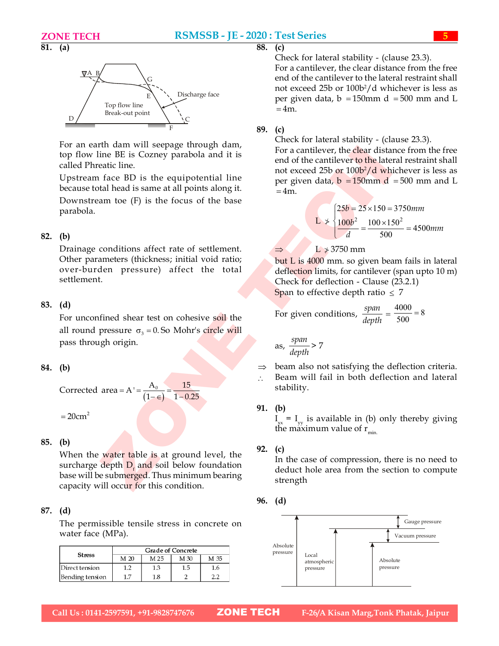

For an earth dam will seepage through dam, top flow line BE is Cozney parabola and it is called Phreatic line.

Upstream face BD is the equipotential line because total head is same at all points along it. Downstream toe (F) is the focus of the base parabola.

#### 82. (b)

Drainage conditions affect rate of settlement. Other parameters (thickness; initial void ratio; over-burden pressure) affect the total settlement.

#### 83. (d)

For unconfined shear test on cohesive soil the all round pressure  $\sigma_3 = 0$ . So Mohr's circle will pass through origin.

#### 84. (b)

 $A'=\frac{A_0}{(1-)}=\frac{15}{1-8}$  $1 - \epsilon$ )  $1 - 0.25$  $A' = \frac{A_0}{1-\epsilon} = \frac{15}{1-0}$ 

 $= 20 \text{cm}^2$ 

#### 85. (b)

When the water table is at ground level, the surcharge depth  $D_f$  and soil below foundation base will be submerged. Thus minimum bearing capacity will occur for this condition.

#### 87. (d)

The permissible tensile stress in concrete on water face (MPa).

|                 |     |      | <b>Grade of Concrete</b> |      |
|-----------------|-----|------|--------------------------|------|
| <b>Stress</b>   | и ж | M 25 | M 30                     | M 35 |
| Direct tension  |     | 1.3  | 1.5                      | 1.6  |
| Bending tension | 17  | 1.8  |                          | າາ   |

 $\frac{E}{\text{Top flow line}}$  E  $\frac{Discharge \text{ face}}{D}$  per given data, b = 150mm d = 500 mm and L  $\overbrace{\phantom{a}^{\text{A}}$  B Check for lateral stability - (clause 23.3). For a cantilever, the clear distance from the free not exceed 25b or 100b<sup>2</sup>/d whichever is less as  $=4m$ .

Check for lateral stability - (clause 23.3).

Fine Diff is Coverage torong toom,<br>
intensity perabola and it is<br>
ead of the cantilever to the lateral restraint shall<br>
then Bit is Coverage perbola and it is<br>
not occeed 25b to 1000b<sup>2</sup>/d whichever is less as<br>
a face BD For a cantilever, the clear distance from the free end of the cantilever to the lateral restraint shall not exceed 25b or  $100b^2/d$  whichever is less as per given data,  $b = 150$ mm d = 500 mm and L  $=4m$ .

$$
L \frac{25b = 25 \times 150 = 3750 \, \text{mm}}{100b^2} = \frac{100 \times 150^2}{500} = 4500 \, \text{mm}
$$

#### $\Rightarrow$  L  $\ast$  3750 mm

but L is 4000 mm. so given beam fails in lateral deflection limits, for cantilever (span upto 10 m) Check for deflection - Clause (23.2.1) Span to effective depth ratio  $\langle 7 \rangle$ 

For given conditions, 
$$
\frac{span}{depth} = \frac{4000}{500} = 8
$$

as, 
$$
\frac{span}{depth} > 7
$$

 $\Rightarrow$  beam also not satisfying the deflection criteria.  $\therefore$  Beam will fail in both deflection and lateral stability.

#### 91. (b)

 $I_{xx}$  =  $I_{yy}$  is available in (b) only thereby giving the maximum value of  $r_{\text{min}}$ .

#### 92. (c)

In the case of compression, there is no need to deduct hole area from the section to compute strength

96. (d)

![](_page_4_Figure_34.jpeg)